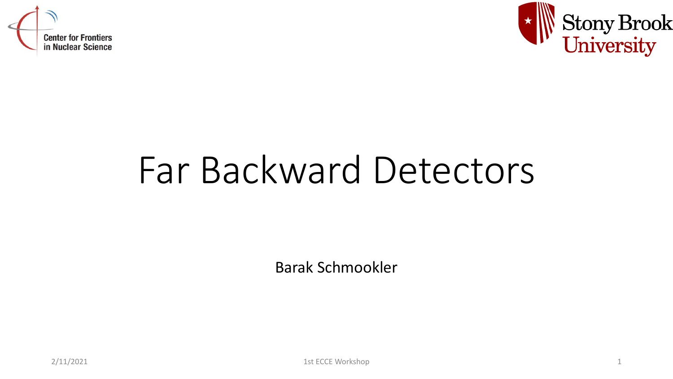



# Far Backward Detectors

Barak Schmookler

2/11/2021 1st ECCE Workshop 1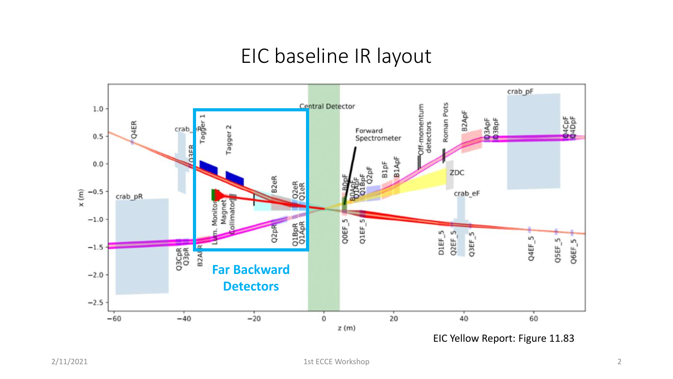#### EIC baseline IR layout

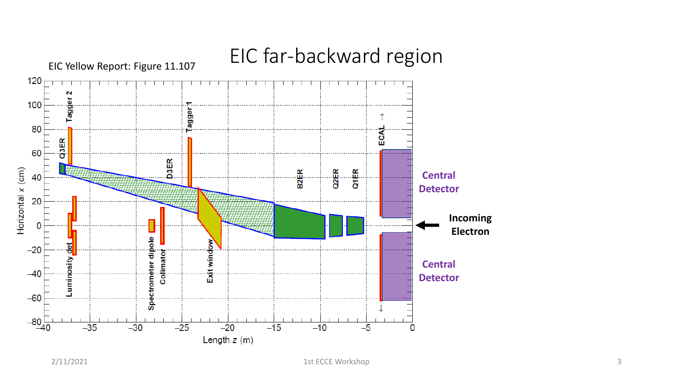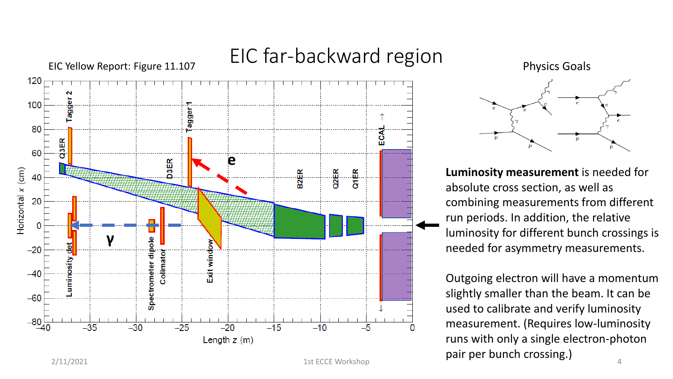

## EIC far-backward region





**Luminosity measurement** is needed for absolute cross section, as well as combining measurements from different run periods. In addition, the relative luminosity for different bunch crossings is needed for asymmetry measurements.

 $2/11/2021$  1st ECCE Workshop  $1$ st ECCE Workshop  $4$ Outgoing electron will have a momentum slightly smaller than the beam. It can be used to calibrate and verify luminosity measurement. (Requires low-luminosity runs with only a single electron-photon pair per bunch crossing.)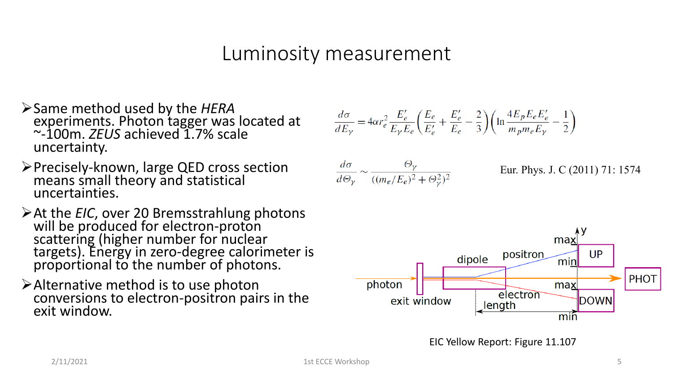### Luminosity measurement

- ➢Same method used by the *HERA* experiments. Photon tagger was located at ~-100m. *ZEUS* achieved 1.7% scale uncertainty.
- ➢Precisely-known, large QED cross section means small theory and statistical uncertainties.
- ➢At the *EIC*, over 20 Bremsstrahlung photons will be produced for electron-proton scattering (higher number for nuclear targets). Energy in zero-degree calorimeter is proportional to the number of photons.
- ➢Alternative method is to use photon conversions to electron-positron pairs in the exit window.

$$
\frac{d\sigma}{dE_{\gamma}} = 4\alpha r_e^2 \frac{E_e'}{E_{\gamma}E_e} \left(\frac{E_e}{E_e'} + \frac{E_e'}{E_e} - \frac{2}{3}\right) \left(\ln \frac{4E_p E_e E_e'}{m_p m_e E_{\gamma}} - \frac{1}{2}\right)
$$

$$
\frac{d\sigma}{d\Theta_{\gamma}} \sim \frac{\Theta_{\gamma}}{((m_e/E_e)^2 + \Theta_{\gamma}^2)^2}
$$

Eur. Phys. J. C (2011) 71: 1574



EIC Yellow Report: Figure 11.107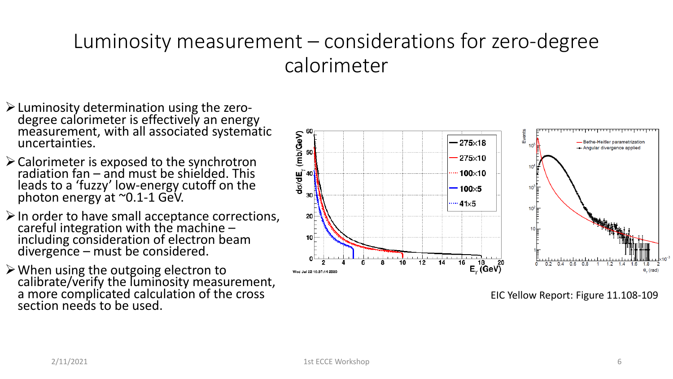## Luminosity measurement – considerations for zero-degree calorimeter

- $\triangleright$  Luminosity determination using the zerodegree calorimeter is effectively an energy measurement, with all associated systematic uncertainties.
- ➢Calorimeter is exposed to the synchrotron radiation fan – and must be shielded. This leads to a 'fuzzy' low-energy cutoff on the photon energy at ~0.1-1 GeV.
- ➢In order to have small acceptance corrections, careful integration with the machine – including consideration of electron beam divergence – must be considered.
- ➢When using the outgoing electron to calibrate/verify the luminosity measurement, a more complicated calculation of the cross section needs to be used.



EIC Yellow Report: Figure 11.108-109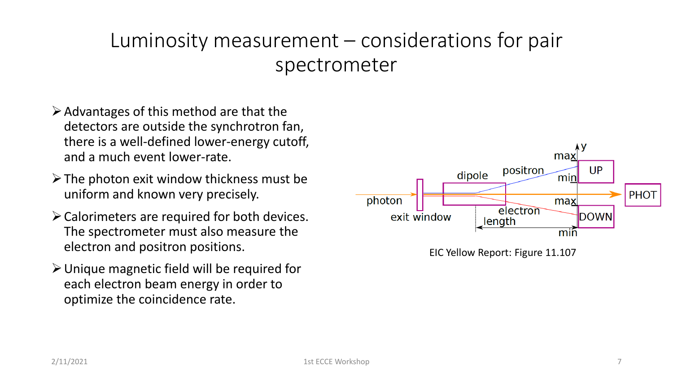## Luminosity measurement – considerations for pair spectrometer

- $\triangleright$  Advantages of this method are that the detectors are outside the synchrotron fan, there is a well-defined lower-energy cutoff, and a much event lower-rate.
- $\triangleright$  The photon exit window thickness must be uniform and known very precisely.
- ➢Calorimeters are required for both devices. The spectrometer must also measure the electron and positron positions.
- ➢Unique magnetic field will be required for each electron beam energy in order to optimize the coincidence rate.



EIC Yellow Report: Figure 11.107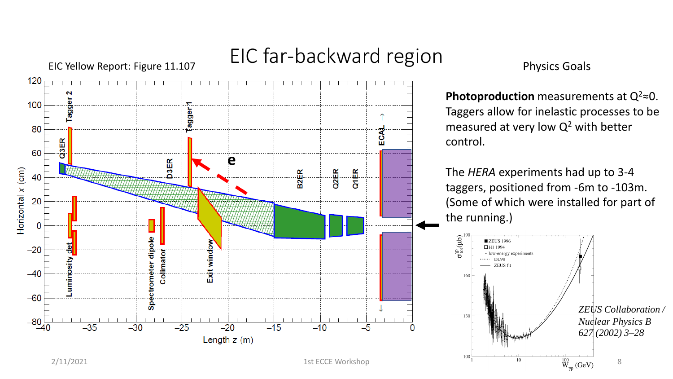

# EIC far-backward region

Physics Goals

**Photoproduction** measurements at  $Q^2 \approx 0$ . Taggers allow for inelastic processes to be measured at very low  $Q^2$  with better control.

The *HERA* experiments had up to 3-4 taggers, positioned from -6m to -103m. (Some of which were installed for part of the running.)

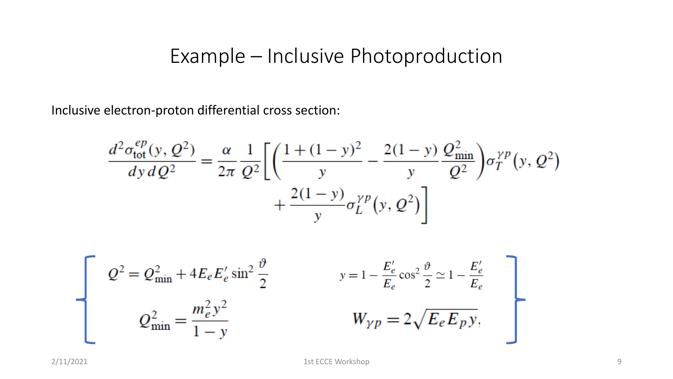## Example – Inclusive Photoproduction

Inclusive electron-proton differential cross section:

$$
\frac{d^2 \sigma_{\text{tot}}^{ep}(y, Q^2)}{dy \, dQ^2} = \frac{\alpha}{2\pi} \frac{1}{Q^2} \left[ \left( \frac{1 + (1 - y)^2}{y} - \frac{2(1 - y)}{y} \frac{Q_{\text{min}}^2}{Q^2} \right) \sigma_T^{\gamma p}(y, Q^2) + \frac{2(1 - y)}{y} \sigma_L^{\gamma p}(y, Q^2) \right]
$$

$$
Q^{2} = Q^{2}_{\min} + 4E_{e}E'_{e}\sin^{2}\frac{\vartheta}{2} \qquad y = 1 - \frac{E'_{e}}{E_{e}}\cos^{2}\frac{\vartheta}{2} \approx 1 - \frac{E'_{e}}{E_{e}}
$$

$$
Q^{2}_{\min} = \frac{m_{e}^{2}y^{2}}{1 - y} \qquad W_{\gamma p} = 2\sqrt{E_{e}E_{p}y},
$$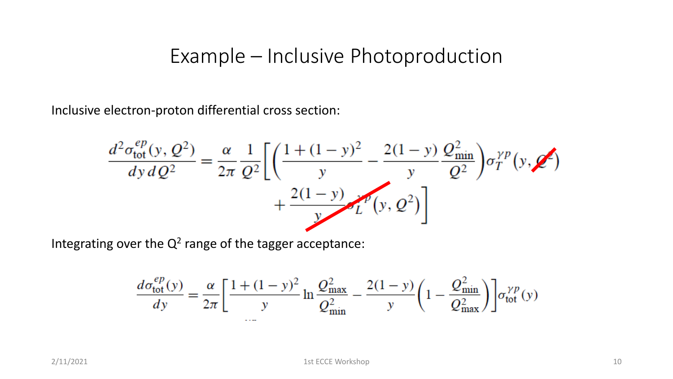#### Example – Inclusive Photoproduction

Inclusive electron-proton differential cross section:

$$
\frac{d^2 \sigma_{\text{tot}}^{ep}(y, Q^2)}{dy \, dQ^2} = \frac{\alpha}{2\pi} \frac{1}{Q^2} \left[ \left( \frac{1 + (1 - y)^2}{y} - \frac{2(1 - y)}{y} \frac{Q_{\text{min}}^2}{Q^2} \right) \sigma_T^{\gamma p}(y, Q^2) + \frac{2(1 - y)}{y} \sigma_L^{\gamma p}(y, Q^2) \right]
$$

Integrating over the  $Q^2$  range of the tagger acceptance:

$$
\frac{d\sigma_{\text{tot}}^{ep}(y)}{dy} = \frac{\alpha}{2\pi} \left[ \frac{1 + (1 - y)^2}{y} \ln \frac{Q_{\text{max}}^2}{Q_{\text{min}}^2} - \frac{2(1 - y)}{y} \left( 1 - \frac{Q_{\text{min}}^2}{Q_{\text{max}}^2} \right) \right] \sigma_{\text{tot}}^{\gamma p}(y)
$$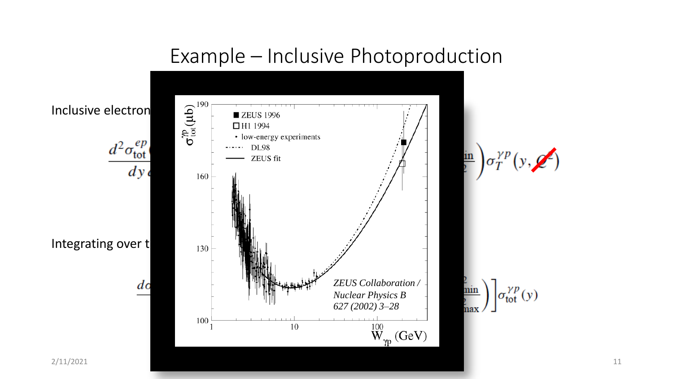### Example – Inclusive Photoproduction

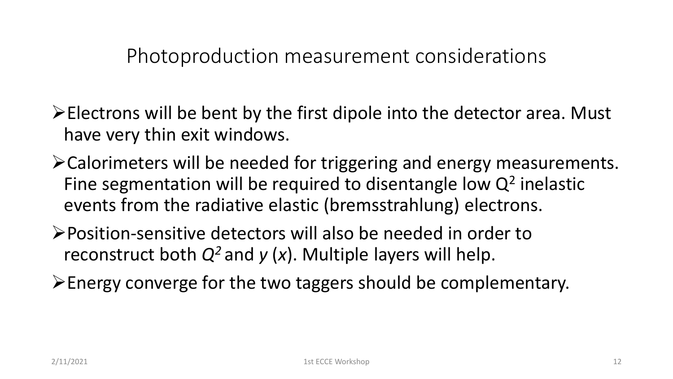Photoproduction measurement considerations

- ➢Electrons will be bent by the first dipole into the detector area. Must have very thin exit windows.
- ➢Calorimeters will be needed for triggering and energy measurements. Fine segmentation will be required to disentangle low  $Q^2$  inelastic events from the radiative elastic (bremsstrahlung) electrons.
- ➢Position-sensitive detectors will also be needed in order to reconstruct both  $Q^2$  and  $y(x)$ . Multiple layers will help.
- ➢Energy converge for the two taggers should be complementary.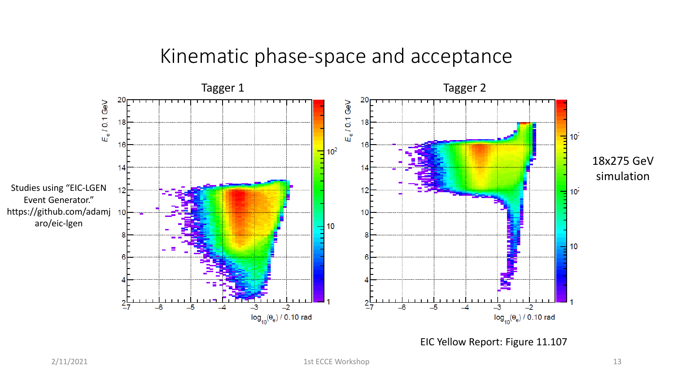#### Kinematic phase-space and acceptance

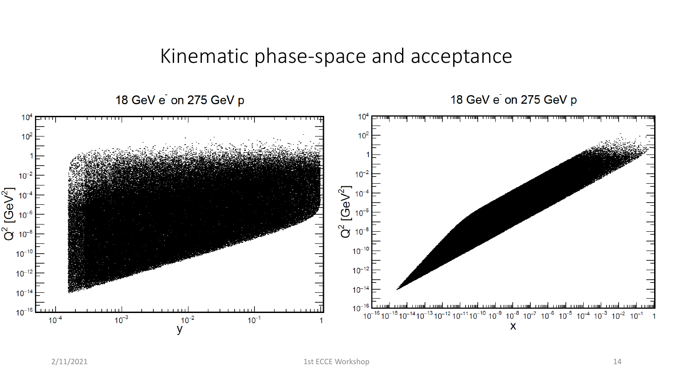#### Kinematic phase-space and acceptance

18 GeV e on 275 GeV p

18 GeV e on 275 GeV p

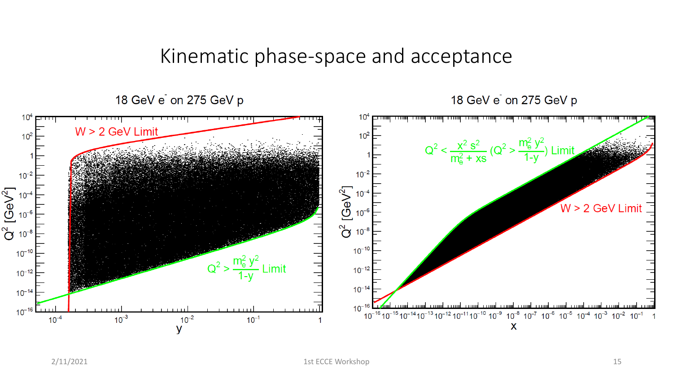#### Kinematic phase-space and acceptance

18 GeV e on 275 GeV p

18 GeV e on 275 GeV p

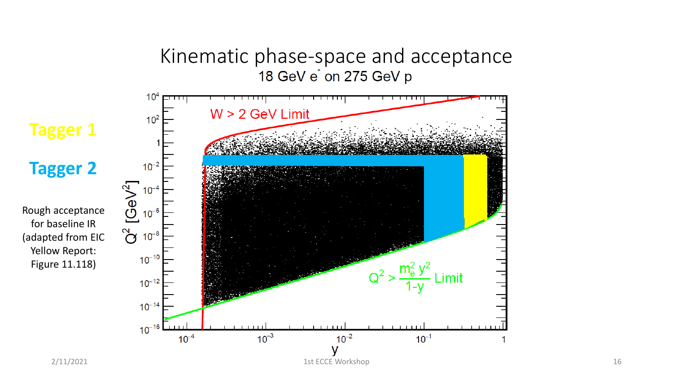# Kinematic phase-space and acceptance<br>18 GeV e on 275 GeV p